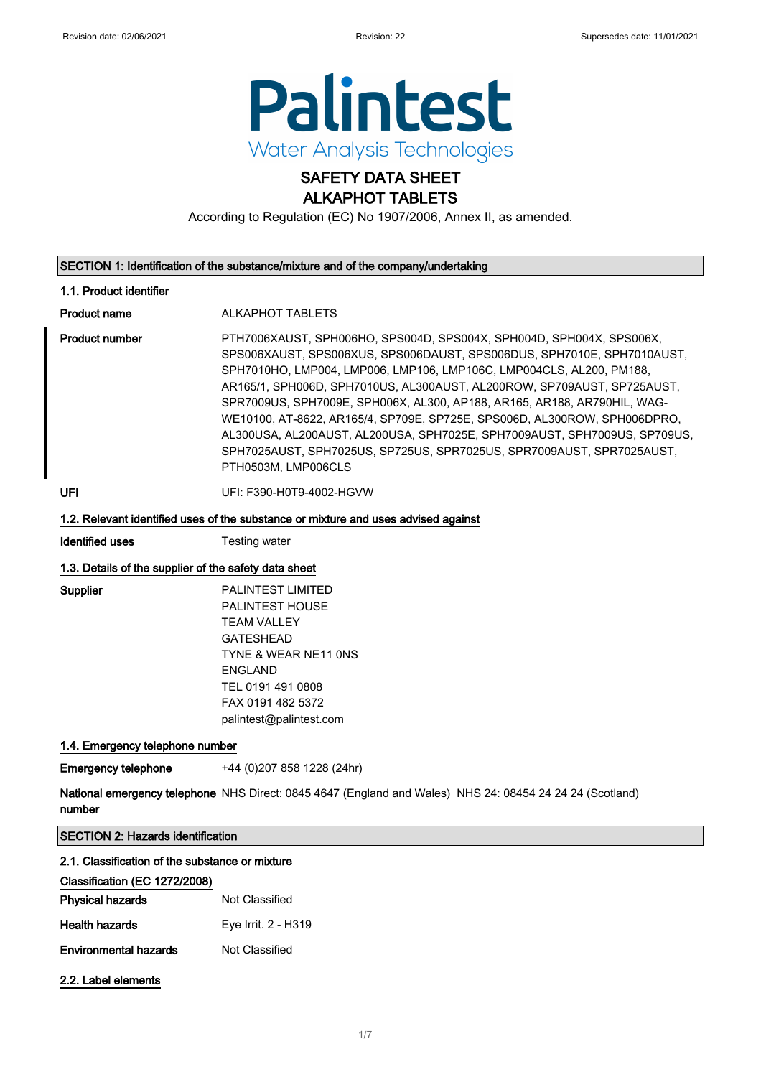

### SAFETY DATA SHEET ALKAPHOT TABLETS

According to Regulation (EC) No 1907/2006, Annex II, as amended.

#### SECTION 1: Identification of the substance/mixture and of the company/undertaking

#### 1.1. Product identifier

Product name **ALKAPHOT TABLETS** 

Product number **PTH7006XAUST, SPH006HO, SPS004D, SPS004X, SPH004D, SPH004X, SPS006X,** SPS006XAUST, SPS006XUS, SPS006DAUST, SPS006DUS, SPH7010E, SPH7010AUST, SPH7010HO, LMP004, LMP006, LMP106, LMP106C, LMP004CLS, AL200, PM188, AR165/1, SPH006D, SPH7010US, AL300AUST, AL200ROW, SP709AUST, SP725AUST, SPR7009US, SPH7009E, SPH006X, AL300, AP188, AR165, AR188, AR790HIL, WAG-WE10100, AT-8622, AR165/4, SP709E, SP725E, SPS006D, AL300ROW, SPH006DPRO, AL300USA, AL200AUST, AL200USA, SPH7025E, SPH7009AUST, SPH7009US, SP709US, SPH7025AUST, SPH7025US, SP725US, SPR7025US, SPR7009AUST, SPR7025AUST, PTH0503M, LMP006CLS

UFI: F390-H0T9-4002-HGVW

#### 1.2. Relevant identified uses of the substance or mixture and uses advised against

Identified uses Testing water

#### 1.3. Details of the supplier of the safety data sheet

Supplier PALINTEST LIMITED PALINTEST HOUSE TFAM VALLEY GATESHEAD TYNE & WEAR NE11 0NS ENGLAND TEL 0191 491 0808 FAX 0191 482 5372 palintest@palintest.com

#### 1.4. Emergency telephone number

**Emergency telephone** +44 (0)207 858 1228 (24hr)

National emergency telephone NHS Direct: 0845 4647 (England and Wales) NHS 24: 08454 24 24 24 (Scotland) number

| <b>SECTION 2: Hazards identification</b>        |                     |  |  |
|-------------------------------------------------|---------------------|--|--|
| 2.1. Classification of the substance or mixture |                     |  |  |
| Classification (EC 1272/2008)                   |                     |  |  |
| <b>Physical hazards</b>                         | Not Classified      |  |  |
| <b>Health hazards</b>                           | Eye Irrit. 2 - H319 |  |  |
| <b>Environmental hazards</b>                    | Not Classified      |  |  |
| 2.2. Label elements                             |                     |  |  |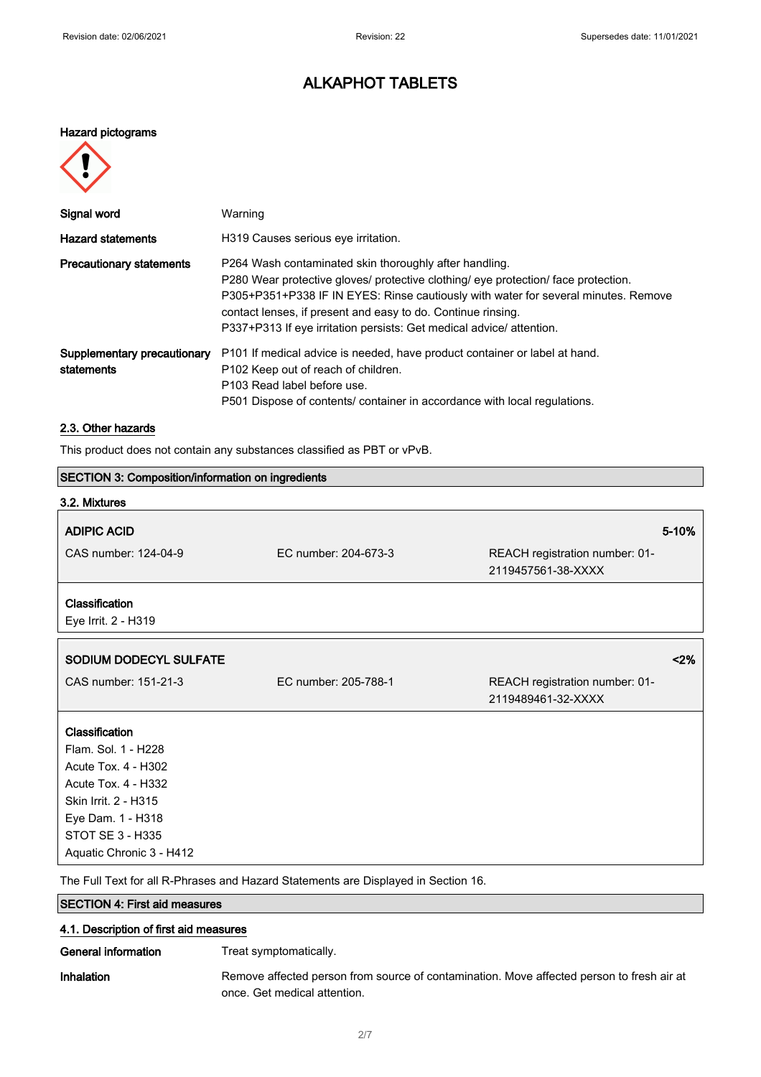# ALKAPHOT TABLETS

### Hazard pictograms



| Signal word                               | Warning                                                                                                                                                                                                                                                                                                                                                                    |
|-------------------------------------------|----------------------------------------------------------------------------------------------------------------------------------------------------------------------------------------------------------------------------------------------------------------------------------------------------------------------------------------------------------------------------|
| <b>Hazard statements</b>                  | H319 Causes serious eye irritation.                                                                                                                                                                                                                                                                                                                                        |
| <b>Precautionary statements</b>           | P264 Wash contaminated skin thoroughly after handling.<br>P280 Wear protective gloves/ protective clothing/ eye protection/ face protection.<br>P305+P351+P338 IF IN EYES: Rinse cautiously with water for several minutes. Remove<br>contact lenses, if present and easy to do. Continue rinsing.<br>P337+P313 If eye irritation persists: Get medical advice/ attention. |
| Supplementary precautionary<br>statements | P101 If medical advice is needed, have product container or label at hand.<br>P <sub>102</sub> Keep out of reach of children.<br>P103 Read label before use.<br>P501 Dispose of contents/ container in accordance with local regulations.                                                                                                                                  |

### 2.3. Other hazards

This product does not contain any substances classified as PBT or vPvB.

| <b>SECTION 3: Composition/information on ingredients</b> |                                                                                    |                                                      |
|----------------------------------------------------------|------------------------------------------------------------------------------------|------------------------------------------------------|
| 3.2. Mixtures                                            |                                                                                    |                                                      |
| <b>ADIPIC ACID</b>                                       |                                                                                    | 5-10%                                                |
| CAS number: 124-04-9                                     | EC number: 204-673-3                                                               | REACH registration number: 01-<br>2119457561-38-XXXX |
| Classification<br>Eye Irrit. 2 - H319                    |                                                                                    |                                                      |
| SODIUM DODECYL SULFATE                                   |                                                                                    | 2%                                                   |
| CAS number: 151-21-3                                     | EC number: 205-788-1                                                               | REACH registration number: 01-<br>2119489461-32-XXXX |
| Classification                                           |                                                                                    |                                                      |
| Flam, Sol. 1 - H228<br>Acute Tox. 4 - H302               |                                                                                    |                                                      |
| Acute Tox. 4 - H332                                      |                                                                                    |                                                      |
| Skin Irrit. 2 - H315                                     |                                                                                    |                                                      |
| Eye Dam. 1 - H318                                        |                                                                                    |                                                      |
| <b>STOT SE 3 - H335</b>                                  |                                                                                    |                                                      |
| Aquatic Chronic 3 - H412                                 |                                                                                    |                                                      |
|                                                          | The Full Text for all R-Phrases and Hazard Statements are Displayed in Section 16. |                                                      |
| <b>SECTION 4: First aid measures</b>                     |                                                                                    |                                                      |

| 4.1. Description of first aid measures |                                                                                                                           |  |
|----------------------------------------|---------------------------------------------------------------------------------------------------------------------------|--|
| General information                    | Treat symptomatically.                                                                                                    |  |
| <b>Inhalation</b>                      | Remove affected person from source of contamination. Move affected person to fresh air at<br>once. Get medical attention. |  |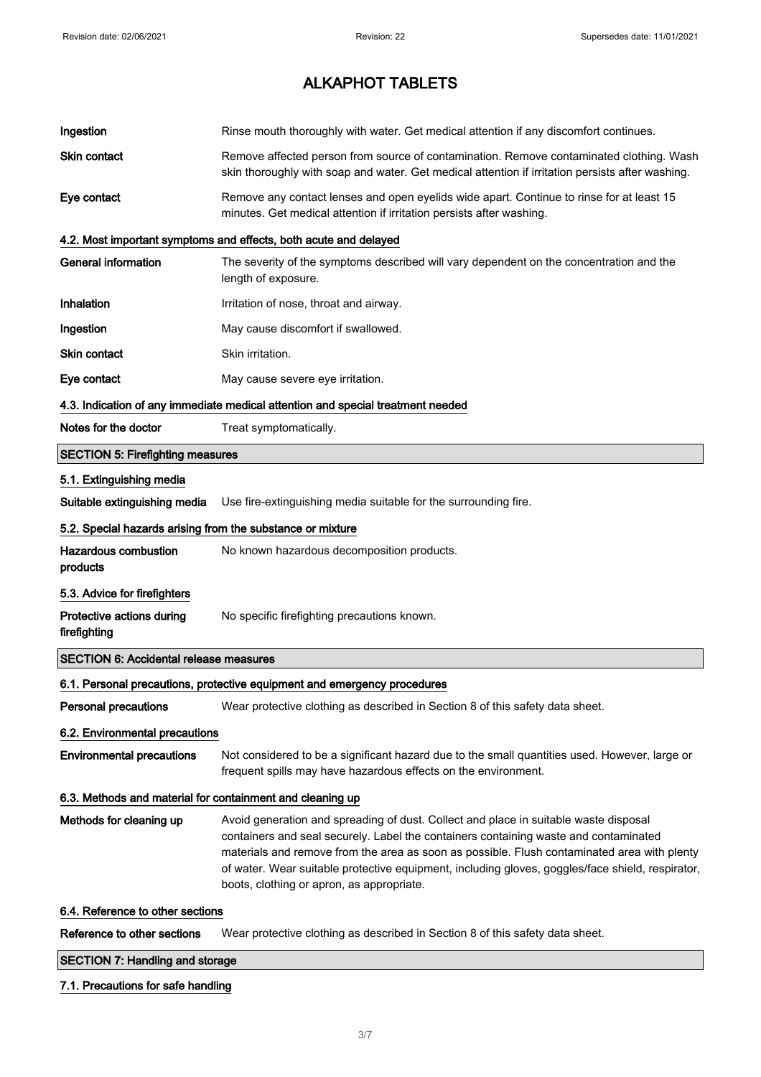| Ingestion                                                  | Rinse mouth thoroughly with water. Get medical attention if any discomfort continues.                                                                                                                                                                                                                                                                                                                                        |
|------------------------------------------------------------|------------------------------------------------------------------------------------------------------------------------------------------------------------------------------------------------------------------------------------------------------------------------------------------------------------------------------------------------------------------------------------------------------------------------------|
| <b>Skin contact</b>                                        | Remove affected person from source of contamination. Remove contaminated clothing. Wash<br>skin thoroughly with soap and water. Get medical attention if irritation persists after washing.                                                                                                                                                                                                                                  |
| Eye contact                                                | Remove any contact lenses and open eyelids wide apart. Continue to rinse for at least 15<br>minutes. Get medical attention if irritation persists after washing.                                                                                                                                                                                                                                                             |
|                                                            | 4.2. Most important symptoms and effects, both acute and delayed                                                                                                                                                                                                                                                                                                                                                             |
| <b>General information</b>                                 | The severity of the symptoms described will vary dependent on the concentration and the<br>length of exposure.                                                                                                                                                                                                                                                                                                               |
| Inhalation                                                 | Irritation of nose, throat and airway.                                                                                                                                                                                                                                                                                                                                                                                       |
| Ingestion                                                  | May cause discomfort if swallowed.                                                                                                                                                                                                                                                                                                                                                                                           |
| Skin contact                                               | Skin irritation.                                                                                                                                                                                                                                                                                                                                                                                                             |
| Eye contact                                                | May cause severe eye irritation.                                                                                                                                                                                                                                                                                                                                                                                             |
|                                                            | 4.3. Indication of any immediate medical attention and special treatment needed                                                                                                                                                                                                                                                                                                                                              |
| Notes for the doctor                                       | Treat symptomatically.                                                                                                                                                                                                                                                                                                                                                                                                       |
| <b>SECTION 5: Firefighting measures</b>                    |                                                                                                                                                                                                                                                                                                                                                                                                                              |
| 5.1. Extinguishing media                                   |                                                                                                                                                                                                                                                                                                                                                                                                                              |
| Suitable extinguishing media                               | Use fire-extinguishing media suitable for the surrounding fire.                                                                                                                                                                                                                                                                                                                                                              |
| 5.2. Special hazards arising from the substance or mixture |                                                                                                                                                                                                                                                                                                                                                                                                                              |
| <b>Hazardous combustion</b><br>products                    | No known hazardous decomposition products.                                                                                                                                                                                                                                                                                                                                                                                   |
| 5.3. Advice for firefighters                               |                                                                                                                                                                                                                                                                                                                                                                                                                              |
| Protective actions during<br>firefighting                  | No specific firefighting precautions known.                                                                                                                                                                                                                                                                                                                                                                                  |
| <b>SECTION 6: Accidental release measures</b>              |                                                                                                                                                                                                                                                                                                                                                                                                                              |
|                                                            | 6.1. Personal precautions, protective equipment and emergency procedures                                                                                                                                                                                                                                                                                                                                                     |
| Personal precautions                                       | Wear protective clothing as described in Section 8 of this safety data sheet.                                                                                                                                                                                                                                                                                                                                                |
| 6.2. Environmental precautions                             |                                                                                                                                                                                                                                                                                                                                                                                                                              |
| <b>Environmental precautions</b>                           | Not considered to be a significant hazard due to the small quantities used. However, large or<br>frequent spills may have hazardous effects on the environment.                                                                                                                                                                                                                                                              |
| 6.3. Methods and material for containment and cleaning up  |                                                                                                                                                                                                                                                                                                                                                                                                                              |
| Methods for cleaning up                                    | Avoid generation and spreading of dust. Collect and place in suitable waste disposal<br>containers and seal securely. Label the containers containing waste and contaminated<br>materials and remove from the area as soon as possible. Flush contaminated area with plenty<br>of water. Wear suitable protective equipment, including gloves, goggles/face shield, respirator,<br>boots, clothing or apron, as appropriate. |
| 6.4. Reference to other sections                           |                                                                                                                                                                                                                                                                                                                                                                                                                              |
| Reference to other sections                                | Wear protective clothing as described in Section 8 of this safety data sheet.                                                                                                                                                                                                                                                                                                                                                |
| <b>SECTION 7: Handling and storage</b>                     |                                                                                                                                                                                                                                                                                                                                                                                                                              |

### 7.1. Precautions for safe handling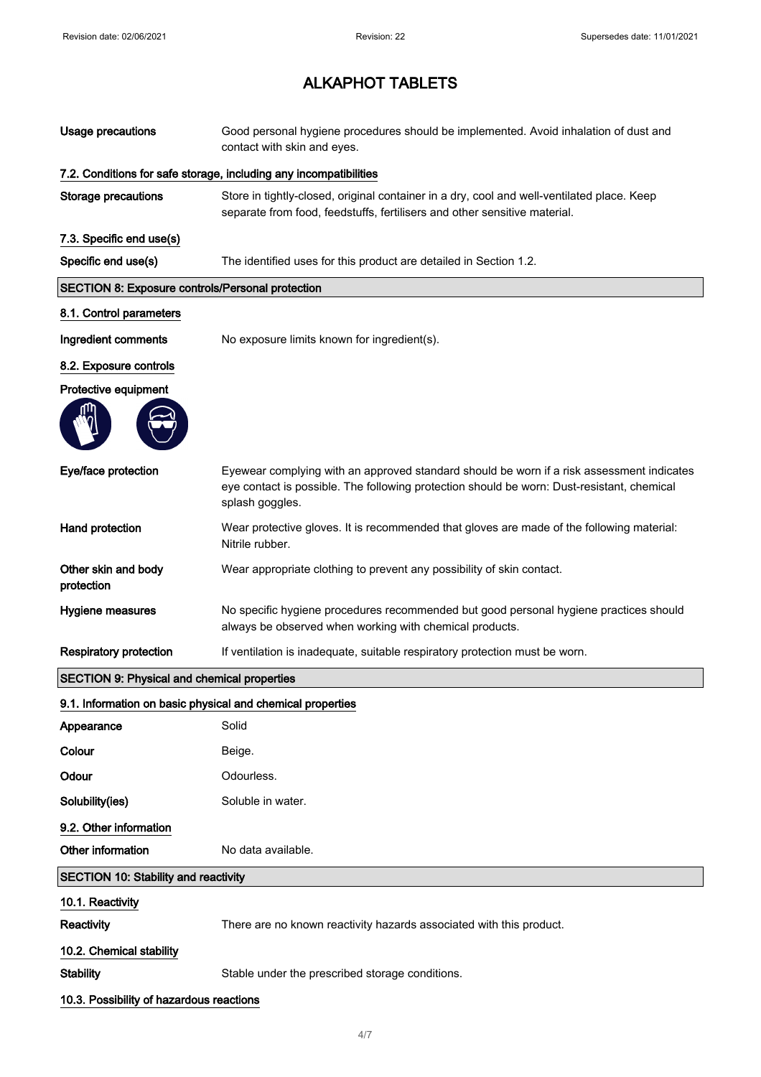| <b>Usage precautions</b>                                   | Good personal hygiene procedures should be implemented. Avoid inhalation of dust and<br>contact with skin and eyes.                                                                                        |
|------------------------------------------------------------|------------------------------------------------------------------------------------------------------------------------------------------------------------------------------------------------------------|
|                                                            | 7.2. Conditions for safe storage, including any incompatibilities                                                                                                                                          |
| <b>Storage precautions</b>                                 | Store in tightly-closed, original container in a dry, cool and well-ventilated place. Keep<br>separate from food, feedstuffs, fertilisers and other sensitive material.                                    |
| 7.3. Specific end use(s)                                   |                                                                                                                                                                                                            |
| Specific end use(s)                                        | The identified uses for this product are detailed in Section 1.2.                                                                                                                                          |
| <b>SECTION 8: Exposure controls/Personal protection</b>    |                                                                                                                                                                                                            |
| 8.1. Control parameters                                    |                                                                                                                                                                                                            |
| Ingredient comments                                        | No exposure limits known for ingredient(s).                                                                                                                                                                |
| 8.2. Exposure controls                                     |                                                                                                                                                                                                            |
| Protective equipment                                       |                                                                                                                                                                                                            |
| Eye/face protection                                        | Eyewear complying with an approved standard should be worn if a risk assessment indicates<br>eye contact is possible. The following protection should be worn: Dust-resistant, chemical<br>splash goggles. |
| Hand protection                                            | Wear protective gloves. It is recommended that gloves are made of the following material:<br>Nitrile rubber.                                                                                               |
| Other skin and body<br>protection                          | Wear appropriate clothing to prevent any possibility of skin contact.                                                                                                                                      |
| Hygiene measures                                           | No specific hygiene procedures recommended but good personal hygiene practices should<br>always be observed when working with chemical products.                                                           |
| <b>Respiratory protection</b>                              | If ventilation is inadequate, suitable respiratory protection must be worn.                                                                                                                                |
| <b>SECTION 9: Physical and chemical properties</b>         |                                                                                                                                                                                                            |
| 9.1. Information on basic physical and chemical properties |                                                                                                                                                                                                            |
| Appearance                                                 | Solid                                                                                                                                                                                                      |
| Colour                                                     | Beige.                                                                                                                                                                                                     |
| Odour                                                      | Odourless.                                                                                                                                                                                                 |
| Solubility(ies)                                            | Soluble in water.                                                                                                                                                                                          |
| 9.2. Other information                                     |                                                                                                                                                                                                            |
| Other information                                          | No data available.                                                                                                                                                                                         |
| <b>SECTION 10: Stability and reactivity</b>                |                                                                                                                                                                                                            |
| 10.1. Reactivity                                           |                                                                                                                                                                                                            |
| Reactivity                                                 | There are no known reactivity hazards associated with this product.                                                                                                                                        |
| 10.2. Chemical stability                                   |                                                                                                                                                                                                            |
| <b>Stability</b>                                           | Stable under the prescribed storage conditions.                                                                                                                                                            |
| 10.3. Possibility of hazardous reactions                   |                                                                                                                                                                                                            |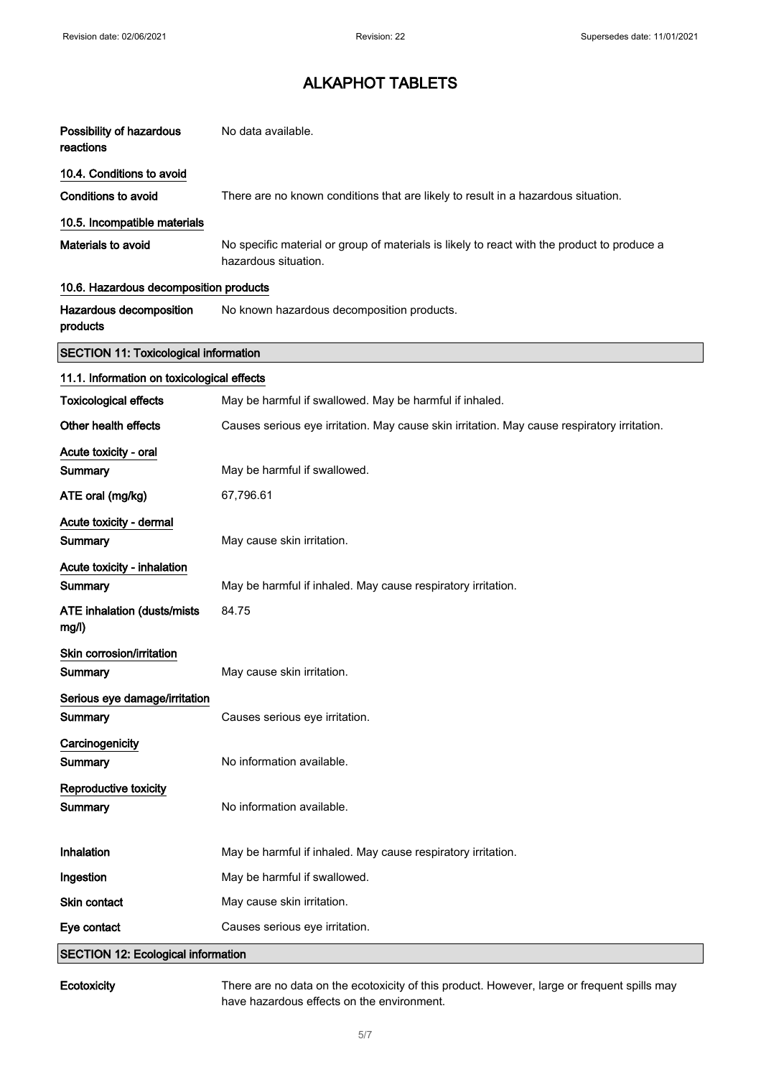| Possibility of hazardous<br>reactions        | No data available.                                                                                                  |
|----------------------------------------------|---------------------------------------------------------------------------------------------------------------------|
| 10.4. Conditions to avoid                    |                                                                                                                     |
| <b>Conditions to avoid</b>                   | There are no known conditions that are likely to result in a hazardous situation.                                   |
| 10.5. Incompatible materials                 |                                                                                                                     |
| Materials to avoid                           | No specific material or group of materials is likely to react with the product to produce a<br>hazardous situation. |
| 10.6. Hazardous decomposition products       |                                                                                                                     |
| Hazardous decomposition<br>products          | No known hazardous decomposition products.                                                                          |
| <b>SECTION 11: Toxicological information</b> |                                                                                                                     |
| 11.1. Information on toxicological effects   |                                                                                                                     |
| <b>Toxicological effects</b>                 | May be harmful if swallowed. May be harmful if inhaled.                                                             |
| Other health effects                         | Causes serious eye irritation. May cause skin irritation. May cause respiratory irritation.                         |
| Acute toxicity - oral<br>Summary             | May be harmful if swallowed.                                                                                        |
| ATE oral (mg/kg)                             | 67,796.61                                                                                                           |
| Acute toxicity - dermal<br>Summary           | May cause skin irritation.                                                                                          |
| Acute toxicity - inhalation                  |                                                                                                                     |
| Summary                                      | May be harmful if inhaled. May cause respiratory irritation.                                                        |
| ATE inhalation (dusts/mists<br>mg/l)         | 84.75                                                                                                               |
| Skin corrosion/irritation<br>Summary         | May cause skin irritation.                                                                                          |
| Serious eye damage/irritation<br>Summary     | Causes serious eye irritation.                                                                                      |
| Carcinogenicity<br>Summary                   | No information available.                                                                                           |
| Reproductive toxicity<br>Summary             | No information available.                                                                                           |
| Inhalation                                   | May be harmful if inhaled. May cause respiratory irritation.                                                        |
| Ingestion                                    | May be harmful if swallowed.                                                                                        |
| Skin contact                                 | May cause skin irritation.                                                                                          |
| Eye contact                                  | Causes serious eye irritation.                                                                                      |
| <b>SECTION 12: Ecological information</b>    |                                                                                                                     |

Ecotoxicity There are no data on the ecotoxicity of this product. However, large or frequent spills may have hazardous effects on the environment.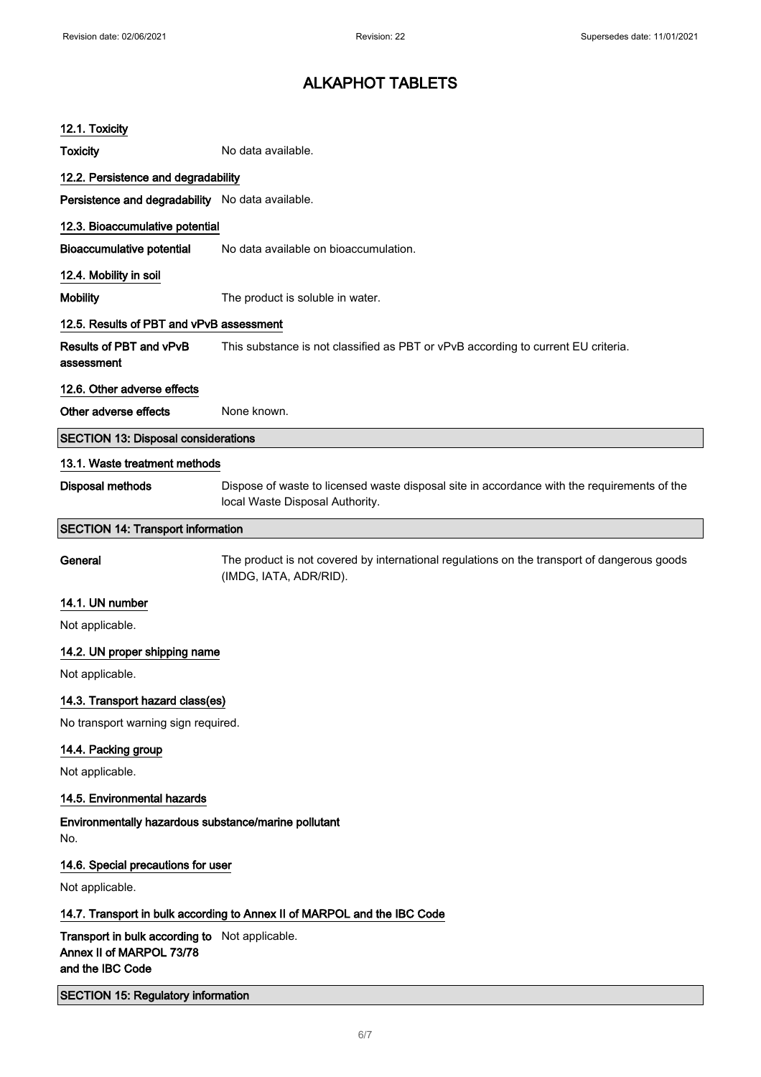| 12.1. Toxicity                                                                                 |                                                                                                                                |
|------------------------------------------------------------------------------------------------|--------------------------------------------------------------------------------------------------------------------------------|
| <b>Toxicity</b>                                                                                | No data available.                                                                                                             |
| 12.2. Persistence and degradability                                                            |                                                                                                                                |
| Persistence and degradability No data available.                                               |                                                                                                                                |
| 12.3. Bioaccumulative potential                                                                |                                                                                                                                |
| <b>Bioaccumulative potential</b>                                                               | No data available on bioaccumulation.                                                                                          |
| 12.4. Mobility in soil                                                                         |                                                                                                                                |
| <b>Mobility</b>                                                                                | The product is soluble in water.                                                                                               |
| 12.5. Results of PBT and vPvB assessment                                                       |                                                                                                                                |
| <b>Results of PBT and vPvB</b><br>assessment                                                   | This substance is not classified as PBT or vPvB according to current EU criteria.                                              |
| 12.6. Other adverse effects                                                                    |                                                                                                                                |
| Other adverse effects                                                                          | None known.                                                                                                                    |
| <b>SECTION 13: Disposal considerations</b>                                                     |                                                                                                                                |
| 13.1. Waste treatment methods                                                                  |                                                                                                                                |
| Disposal methods                                                                               | Dispose of waste to licensed waste disposal site in accordance with the requirements of the<br>local Waste Disposal Authority. |
| <b>SECTION 14: Transport information</b>                                                       |                                                                                                                                |
| General                                                                                        | The product is not covered by international regulations on the transport of dangerous goods<br>(IMDG, IATA, ADR/RID).          |
| 14.1. UN number                                                                                |                                                                                                                                |
| Not applicable.                                                                                |                                                                                                                                |
| 14.2. UN proper shipping name                                                                  |                                                                                                                                |
| Not applicable.                                                                                |                                                                                                                                |
| 14.3. Transport hazard class(es)                                                               |                                                                                                                                |
| No transport warning sign required.                                                            |                                                                                                                                |
| 14.4. Packing group                                                                            |                                                                                                                                |
| Not applicable.                                                                                |                                                                                                                                |
| 14.5. Environmental hazards                                                                    |                                                                                                                                |
| Environmentally hazardous substance/marine pollutant<br>No.                                    |                                                                                                                                |
| 14.6. Special precautions for user                                                             |                                                                                                                                |
| Not applicable.                                                                                |                                                                                                                                |
|                                                                                                | 14.7. Transport in bulk according to Annex II of MARPOL and the IBC Code                                                       |
| Transport in bulk according to Not applicable.<br>Annex II of MARPOL 73/78<br>and the IBC Code |                                                                                                                                |
| <b>SECTION 15: Regulatory information</b>                                                      |                                                                                                                                |
|                                                                                                |                                                                                                                                |